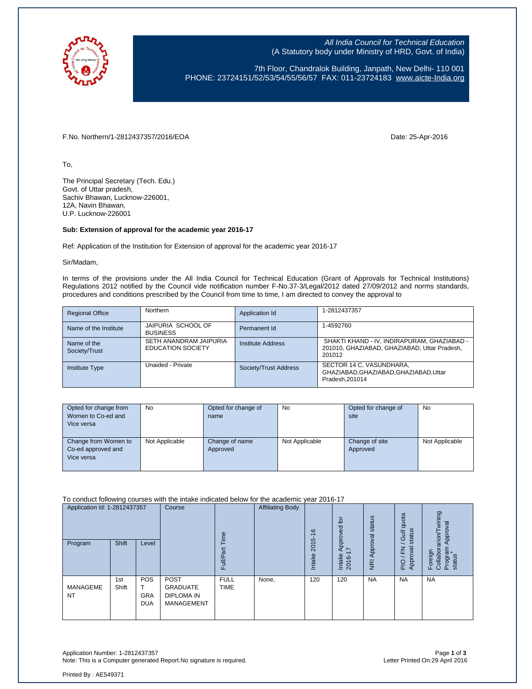

All India Council for Technical Education (A Statutory body under Ministry of HRD, Govt. of India)

7th Floor, Chandralok Building, Janpath, New Delhi- 110 001 PHONE: 23724151/52/53/54/55/56/57 FAX: 011-23724183 [www.aicte-India.org](http://www.aicte-india.org/)

F.No. Northern/1-2812437357/2016/EOA Date: 25-Apr-2016

To,

The Principal Secretary (Tech. Edu.) Govt. of Uttar pradesh, Sachiv Bhawan, Lucknow-226001, 12A, Navin Bhawan, U.P. Lucknow-226001

## **Sub: Extension of approval for the academic year 2016-17**

Ref: Application of the Institution for Extension of approval for the academic year 2016-17

Sir/Madam,

In terms of the provisions under the All India Council for Technical Education (Grant of Approvals for Technical Institutions) Regulations 2012 notified by the Council vide notification number F-No.37-3/Legal/2012 dated 27/09/2012 and norms standards, procedures and conditions prescribed by the Council from time to time, I am directed to convey the approval to

| <b>Regional Office</b>       | <b>Northern</b>                                    | Application Id        | 1-2812437357                                                                                          |
|------------------------------|----------------------------------------------------|-----------------------|-------------------------------------------------------------------------------------------------------|
| Name of the Institute        | JAIPURIA SCHOOL OF<br><b>BUSINESS</b>              | Permanent Id          | 1-4592760                                                                                             |
| Name of the<br>Society/Trust | SETH ANANDRAM JAIPURIA<br><b>EDUCATION SOCIETY</b> | Institute Address     | SHAKTI KHAND - IV, INDIRAPURAM, GHAZIABAD -<br>201010, GHAZIABAD, GHAZIABAD, Uttar Pradesh,<br>201012 |
| <b>Institute Type</b>        | Unaided - Private                                  | Society/Trust Address | SECTOR 14 C, VASUNDHARA,<br>GHAZIABAD.GHAZIABAD.GHAZIABAD.Uttar<br>Pradesh.201014                     |

| Opted for change from | <b>No</b>      | Opted for change of | <b>No</b>      | Opted for change of | <b>No</b>      |
|-----------------------|----------------|---------------------|----------------|---------------------|----------------|
| Women to Co-ed and    |                | name                |                | site                |                |
| Vice versa            |                |                     |                |                     |                |
|                       |                |                     |                |                     |                |
| Change from Women to  | Not Applicable | Change of name      | Not Applicable | Change of site      | Not Applicable |
| Co-ed approved and    |                | Approved            |                | Approved            |                |
| Vice versa            |                |                     |                |                     |                |
|                       |                |                     |                |                     |                |

To conduct following courses with the intake indicated below for the academic year 2016-17

| Application Id: 1-2812437357<br>Program | Shift        | Level                                  | Course                                                                   | euil<br>ಗೌ<br>Full         | <b>Affiliating Body</b> | $\circ$<br>ယ<br>201<br>Intake | tor<br>Approved<br>7<br>Intake<br>2016- | Approval status<br>$\overline{g}$ | quota<br>status<br><b>Jir</b><br>준<br>roval<br>App<br>$\frac{1}{2}$ | wining<br>Approval<br>Foreign<br>Collaborarion/ <sup>-</sup><br>Program<br>status |
|-----------------------------------------|--------------|----------------------------------------|--------------------------------------------------------------------------|----------------------------|-------------------------|-------------------------------|-----------------------------------------|-----------------------------------|---------------------------------------------------------------------|-----------------------------------------------------------------------------------|
| MANAGEME<br><b>NT</b>                   | 1st<br>Shift | <b>POS</b><br><b>GRA</b><br><b>DUA</b> | <b>POST</b><br><b>GRADUATE</b><br><b>DIPLOMA IN</b><br><b>MANAGEMENT</b> | <b>FULL</b><br><b>TIME</b> | None,                   | 120                           | 120                                     | <b>NA</b>                         | <b>NA</b>                                                           | <b>NA</b>                                                                         |

Application Number: 1-2812437357 Page **1** of **3** Note: This is a Computer generated Report. No signature is required.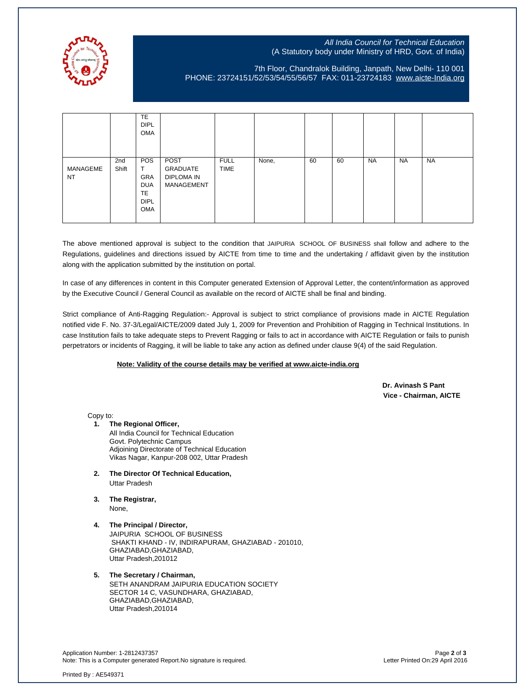

## All India Council for Technical Education (A Statutory body under Ministry of HRD, Govt. of India)

7th Floor, Chandralok Building, Janpath, New Delhi- 110 001 PHONE: 23724151/52/53/54/55/56/57 FAX: 011-23724183 [www.aicte-India.org](http://www.aicte-india.org/)

|                       |              | <b>TE</b><br><b>DIPL</b><br>OMA                             |                                                     |                            |       |    |    |           |           |           |
|-----------------------|--------------|-------------------------------------------------------------|-----------------------------------------------------|----------------------------|-------|----|----|-----------|-----------|-----------|
| MANAGEME<br><b>NT</b> | 2nd<br>Shift | POS<br>GRA<br><b>DUA</b><br><b>TE</b><br><b>DIPL</b><br>OMA | POST<br>GRADUATE<br><b>DIPLOMA IN</b><br>MANAGEMENT | <b>FULL</b><br><b>TIME</b> | None, | 60 | 60 | <b>NA</b> | <b>NA</b> | <b>NA</b> |

The above mentioned approval is subject to the condition that JAIPURIA SCHOOL OF BUSINESS shall follow and adhere to the Regulations, guidelines and directions issued by AICTE from time to time and the undertaking / affidavit given by the institution along with the application submitted by the institution on portal.

In case of any differences in content in this Computer generated Extension of Approval Letter, the content/information as approved by the Executive Council / General Council as available on the record of AICTE shall be final and binding.

Strict compliance of Anti-Ragging Regulation:- Approval is subject to strict compliance of provisions made in AICTE Regulation notified vide F. No. 37-3/Legal/AICTE/2009 dated July 1, 2009 for Prevention and Prohibition of Ragging in Technical Institutions. In case Institution fails to take adequate steps to Prevent Ragging or fails to act in accordance with AICTE Regulation or fails to punish perpetrators or incidents of Ragging, it will be liable to take any action as defined under clause 9(4) of the said Regulation.

## **Note: Validity of the course details may be verified at www.aicte-india.org**

 **Dr. Avinash S Pant Vice - Chairman, AICTE**

Copy to:

**1. The Regional Officer,**

All India Council for Technical Education Govt. Polytechnic Campus Adjoining Directorate of Technical Education Vikas Nagar, Kanpur-208 002, Uttar Pradesh

- **2. The Director Of Technical Education,** Uttar Pradesh
- **3. The Registrar,** None,
- **4. The Principal / Director,** JAIPURIA SCHOOL OF BUSINESS SHAKTI KHAND - IV, INDIRAPURAM, GHAZIABAD - 201010, GHAZIABAD,GHAZIABAD, Uttar Pradesh,201012
- **5. The Secretary / Chairman,** SETH ANANDRAM JAIPURIA EDUCATION SOCIETY SECTOR 14 C, VASUNDHARA, GHAZIABAD, GHAZIABAD,GHAZIABAD, Uttar Pradesh,201014

Application Number: 1-2812437357 Page **2** of **3** Note: This is a Computer generated Report.No signature is required.